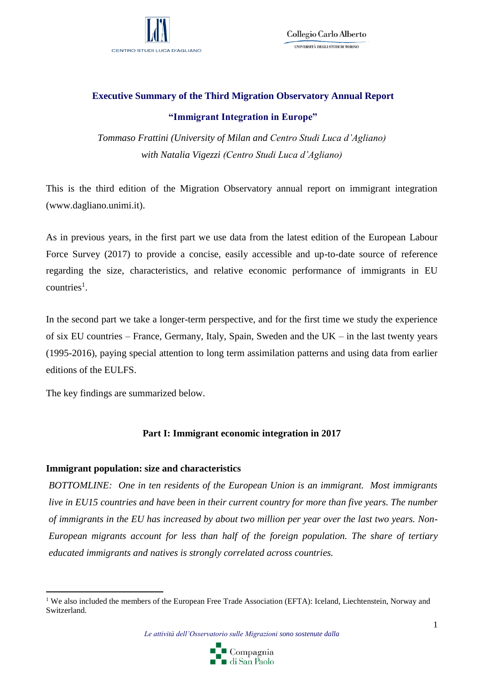

Collegio Carlo Alberto UNIVERSITÀ DEGLI STUDI DI TORINO

# **Executive Summary of the Third Migration Observatory Annual Report "Immigrant Integration in Europe"**

*Tommaso Frattini (University of Milan and Centro Studi Luca d'Agliano) with Natalia Vigezzi (Centro Studi Luca d'Agliano)*

This is the third edition of the Migration Observatory annual report on immigrant integration (www.dagliano.unimi.it).

As in previous years, in the first part we use data from the latest edition of the European Labour Force Survey (2017) to provide a concise, easily accessible and up-to-date source of reference regarding the size, characteristics, and relative economic performance of immigrants in EU  $countries<sup>1</sup>$ .

In the second part we take a longer-term perspective, and for the first time we study the experience of six EU countries – France, Germany, Italy, Spain, Sweden and the UK – in the last twenty years (1995-2016), paying special attention to long term assimilation patterns and using data from earlier editions of the EULFS.

The key findings are summarized below.

1

# **Part I: Immigrant economic integration in 2017**

# **Immigrant population: size and characteristics**

*BOTTOMLINE: One in ten residents of the European Union is an immigrant. Most immigrants live in EU15 countries and have been in their current country for more than five years. The number of immigrants in the EU has increased by about two million per year over the last two years. Non-European migrants account for less than half of the foreign population. The share of tertiary educated immigrants and natives is strongly correlated across countries.*

*Le attività dell'Osservatorio sulle Migrazioni sono sostenute dalla* 



<sup>&</sup>lt;sup>1</sup> We also included the members of the European Free Trade Association (EFTA): Iceland, Liechtenstein, Norway and Switzerland.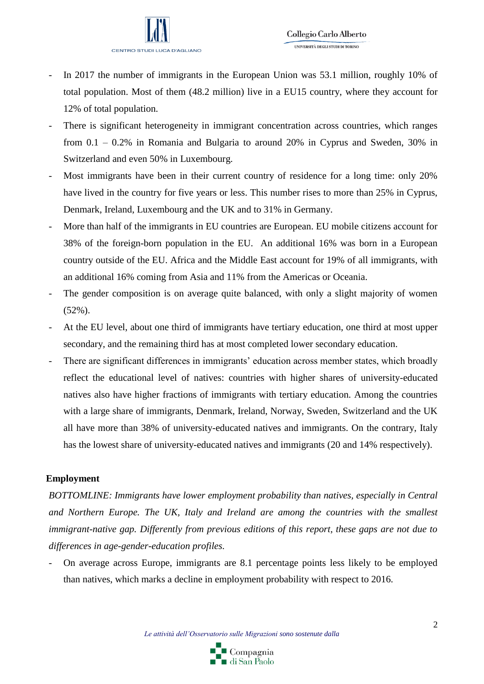

- In 2017 the number of immigrants in the European Union was 53.1 million, roughly 10% of total population. Most of them (48.2 million) live in a EU15 country, where they account for 12% of total population.
- There is significant heterogeneity in immigrant concentration across countries, which ranges from 0.1 – 0.2% in Romania and Bulgaria to around 20% in Cyprus and Sweden, 30% in Switzerland and even 50% in Luxembourg.
- Most immigrants have been in their current country of residence for a long time: only 20% have lived in the country for five years or less. This number rises to more than 25% in Cyprus, Denmark, Ireland, Luxembourg and the UK and to 31% in Germany.
- More than half of the immigrants in EU countries are European. EU mobile citizens account for 38% of the foreign-born population in the EU. An additional 16% was born in a European country outside of the EU. Africa and the Middle East account for 19% of all immigrants, with an additional 16% coming from Asia and 11% from the Americas or Oceania.
- The gender composition is on average quite balanced, with only a slight majority of women (52%).
- At the EU level, about one third of immigrants have tertiary education, one third at most upper secondary, and the remaining third has at most completed lower secondary education.
- There are significant differences in immigrants' education across member states, which broadly reflect the educational level of natives: countries with higher shares of university-educated natives also have higher fractions of immigrants with tertiary education. Among the countries with a large share of immigrants, Denmark, Ireland, Norway, Sweden, Switzerland and the UK all have more than 38% of university-educated natives and immigrants. On the contrary, Italy has the lowest share of university-educated natives and immigrants (20 and 14% respectively).

# **Employment**

*BOTTOMLINE: Immigrants have lower employment probability than natives, especially in Central and Northern Europe. The UK, Italy and Ireland are among the countries with the smallest immigrant-native gap. Differently from previous editions of this report, these gaps are not due to differences in age-gender-education profiles.*

- On average across Europe, immigrants are 8.1 percentage points less likely to be employed than natives, which marks a decline in employment probability with respect to 2016.

*Le attività dell'Osservatorio sulle Migrazioni sono sostenute dalla* 

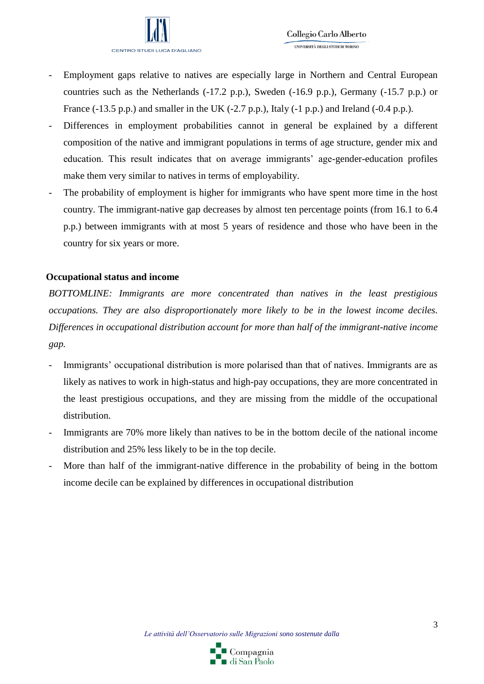

- Employment gaps relative to natives are especially large in Northern and Central European countries such as the Netherlands (-17.2 p.p.), Sweden (-16.9 p.p.), Germany (-15.7 p.p.) or France (-13.5 p.p.) and smaller in the UK (-2.7 p.p.), Italy (-1 p.p.) and Ireland (-0.4 p.p.).
- Differences in employment probabilities cannot in general be explained by a different composition of the native and immigrant populations in terms of age structure, gender mix and education. This result indicates that on average immigrants' age-gender-education profiles make them very similar to natives in terms of employability.
- The probability of employment is higher for immigrants who have spent more time in the host country. The immigrant-native gap decreases by almost ten percentage points (from 16.1 to 6.4 p.p.) between immigrants with at most 5 years of residence and those who have been in the country for six years or more.

#### **Occupational status and income**

*BOTTOMLINE: Immigrants are more concentrated than natives in the least prestigious occupations. They are also disproportionately more likely to be in the lowest income deciles. Differences in occupational distribution account for more than half of the immigrant-native income gap.*

- Immigrants' occupational distribution is more polarised than that of natives. Immigrants are as likely as natives to work in high-status and high-pay occupations, they are more concentrated in the least prestigious occupations, and they are missing from the middle of the occupational distribution.
- Immigrants are 70% more likely than natives to be in the bottom decile of the national income distribution and 25% less likely to be in the top decile.
- More than half of the immigrant-native difference in the probability of being in the bottom income decile can be explained by differences in occupational distribution

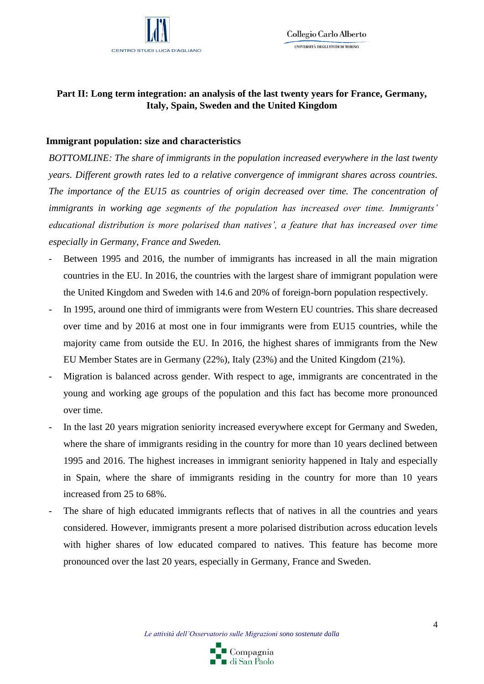

# **Part II: Long term integration: an analysis of the last twenty years for France, Germany, Italy, Spain, Sweden and the United Kingdom**

#### **Immigrant population: size and characteristics**

*BOTTOMLINE: The share of immigrants in the population increased everywhere in the last twenty years. Different growth rates led to a relative convergence of immigrant shares across countries. The importance of the EU15 as countries of origin decreased over time. The concentration of immigrants in working age segments of the population has increased over time. Immigrants' educational distribution is more polarised than natives', a feature that has increased over time especially in Germany, France and Sweden.*

- Between 1995 and 2016, the number of immigrants has increased in all the main migration countries in the EU. In 2016, the countries with the largest share of immigrant population were the United Kingdom and Sweden with 14.6 and 20% of foreign-born population respectively.
- In 1995, around one third of immigrants were from Western EU countries. This share decreased over time and by 2016 at most one in four immigrants were from EU15 countries, while the majority came from outside the EU. In 2016, the highest shares of immigrants from the New EU Member States are in Germany (22%), Italy (23%) and the United Kingdom (21%).
- Migration is balanced across gender. With respect to age, immigrants are concentrated in the young and working age groups of the population and this fact has become more pronounced over time.
- In the last 20 years migration seniority increased everywhere except for Germany and Sweden, where the share of immigrants residing in the country for more than 10 years declined between 1995 and 2016. The highest increases in immigrant seniority happened in Italy and especially in Spain, where the share of immigrants residing in the country for more than 10 years increased from 25 to 68%.
- The share of high educated immigrants reflects that of natives in all the countries and years considered. However, immigrants present a more polarised distribution across education levels with higher shares of low educated compared to natives. This feature has become more pronounced over the last 20 years, especially in Germany, France and Sweden.

*Le attività dell'Osservatorio sulle Migrazioni sono sostenute dalla* 

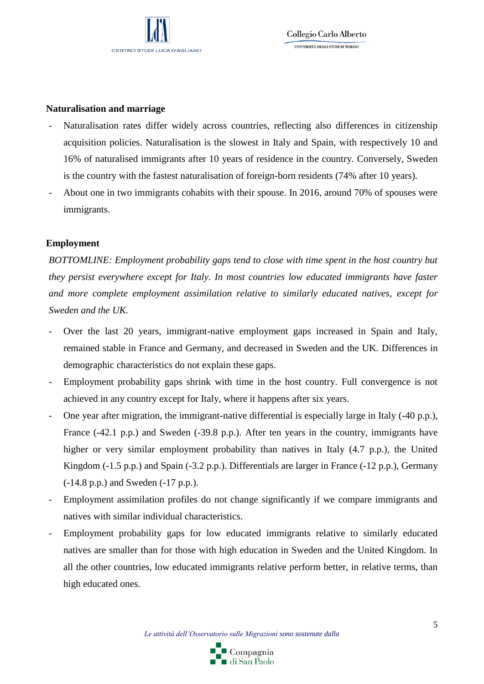

#### **Naturalisation and marriage**

- Naturalisation rates differ widely across countries, reflecting also differences in citizenship acquisition policies. Naturalisation is the slowest in Italy and Spain, with respectively 10 and 16% of naturalised immigrants after 10 years of residence in the country. Conversely, Sweden is the country with the fastest naturalisation of foreign-born residents (74% after 10 years).
- About one in two immigrants cohabits with their spouse. In 2016, around 70% of spouses were immigrants.

#### **Employment**

*BOTTOMLINE: Employment probability gaps tend to close with time spent in the host country but they persist everywhere except for Italy. In most countries low educated immigrants have faster and more complete employment assimilation relative to similarly educated natives, except for Sweden and the UK.*

- Over the last 20 years, immigrant-native employment gaps increased in Spain and Italy, remained stable in France and Germany, and decreased in Sweden and the UK. Differences in demographic characteristics do not explain these gaps.
- Employment probability gaps shrink with time in the host country. Full convergence is not achieved in any country except for Italy, where it happens after six years.
- One year after migration, the immigrant-native differential is especially large in Italy (-40 p.p.), France (-42.1 p.p.) and Sweden (-39.8 p.p.). After ten years in the country, immigrants have higher or very similar employment probability than natives in Italy (4.7 p.p.), the United Kingdom (-1.5 p.p.) and Spain (-3.2 p.p.). Differentials are larger in France (-12 p.p.), Germany (-14.8 p.p.) and Sweden (-17 p.p.).
- Employment assimilation profiles do not change significantly if we compare immigrants and natives with similar individual characteristics.
- Employment probability gaps for low educated immigrants relative to similarly educated natives are smaller than for those with high education in Sweden and the United Kingdom. In all the other countries, low educated immigrants relative perform better, in relative terms, than high educated ones.